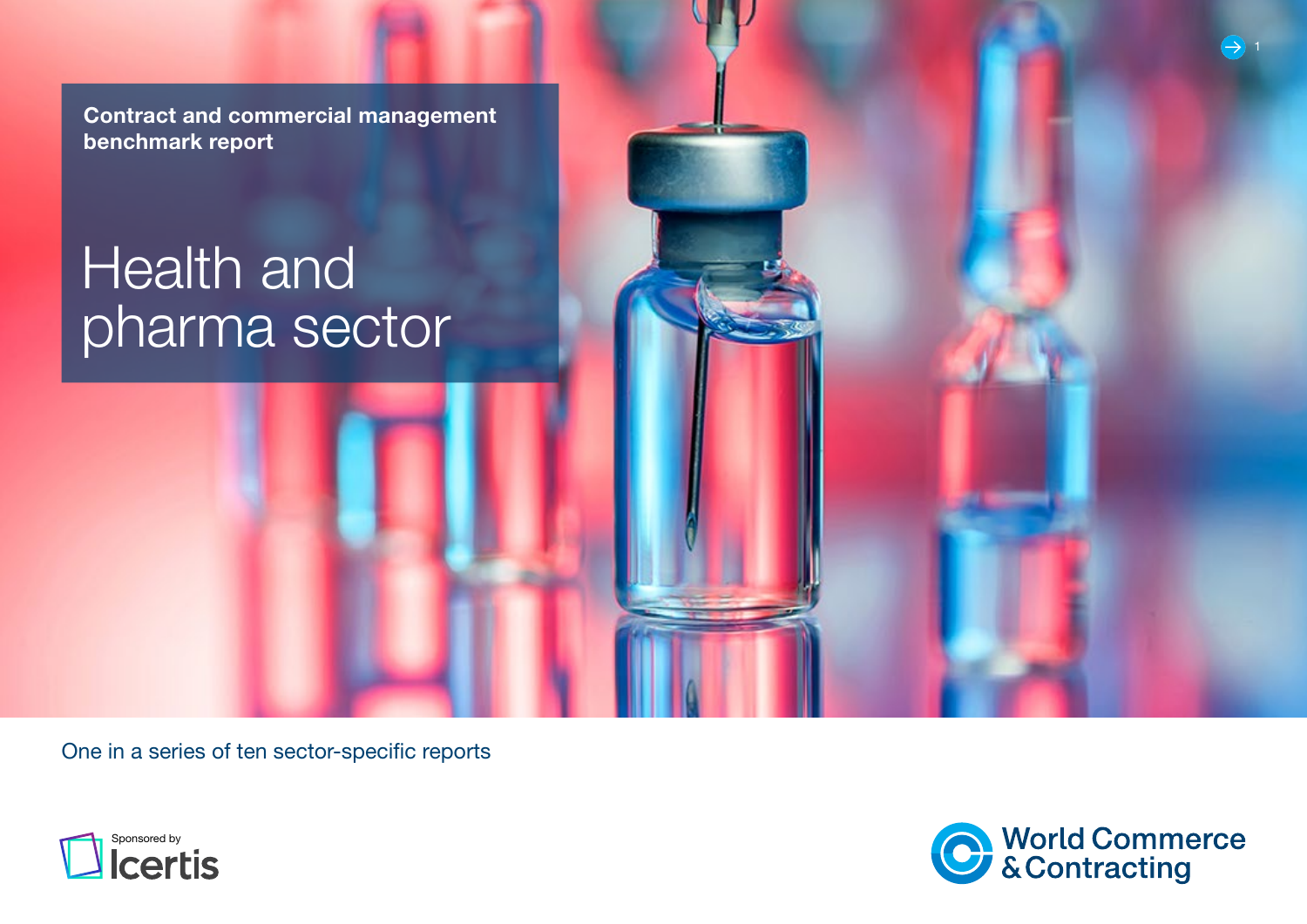Contract and commercial management benchmark report

# **Health and** pharma sector

One in a series of ten sector-specific reports



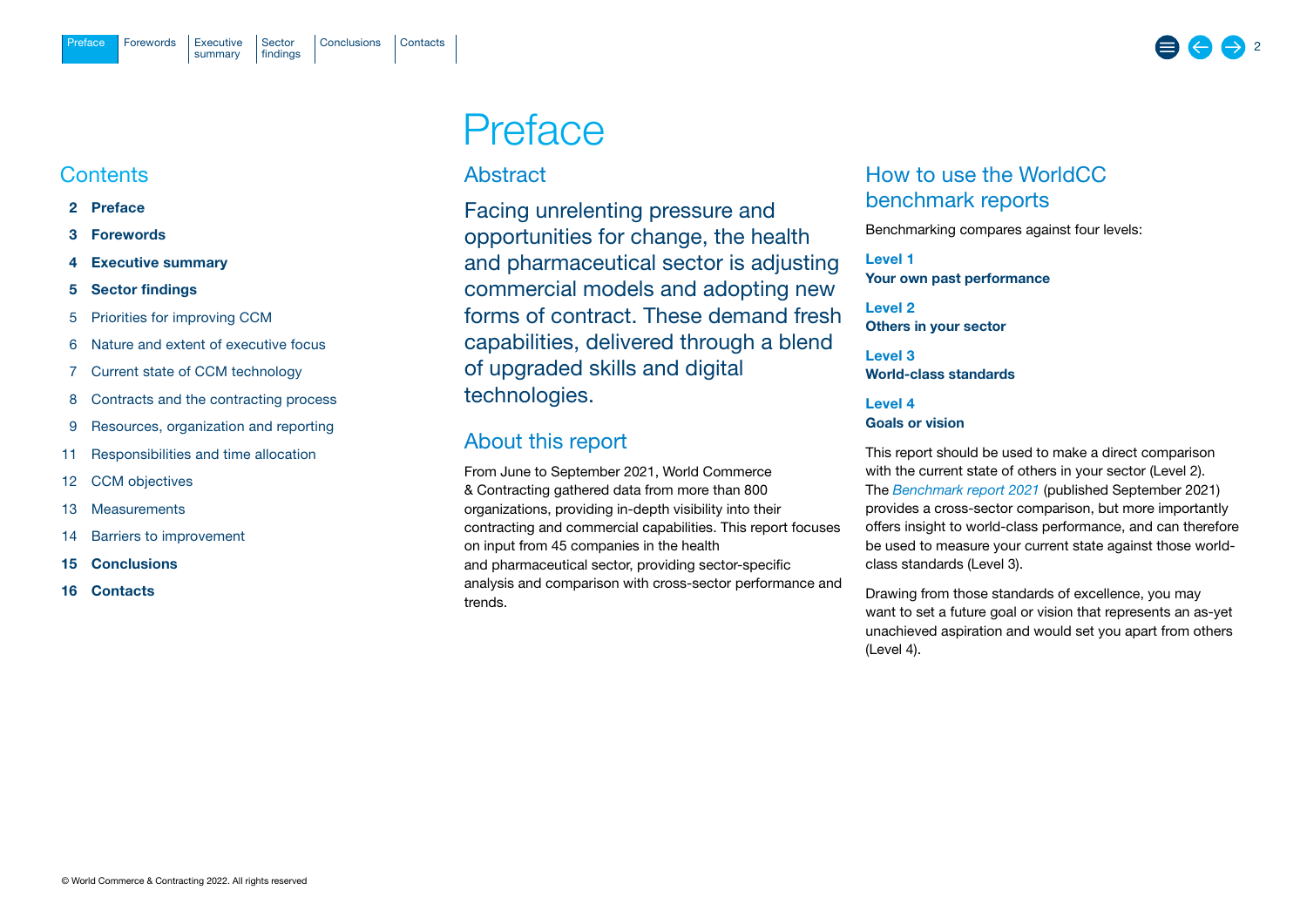## <span id="page-1-0"></span>**Contents**

- 2 Preface
- 3 Forewords
- 4 Executive summary
- 5 Sector findings
- 5 Priorities for improving CCM
- 6 Nature and extent of executive focus
- 7 Current state of CCM technology
- 8 Contracts and the contracting process
- 9 Resources, organization and reporting
- 11 Responsibilities and time allocation
- 12 CCM objectives
- 13 Measurements
- 14 Barriers to improvement
- 15 Conclusions
- 16 Contacts

# Preface

## Abstract

Facing unrelenting pressure and opportunities for change, the health and pharmaceutical sector is adjusting commercial models and adopting new forms of contract. These demand fresh capabilities, delivered through a blend of upgraded skills and digital technologies.

## About this report

From June to September 2021, World Commerce & Contracting gathered data from more than 800 organizations, providing in-depth visibility into their contracting and commercial capabilities. This report focuses on input from 45 companies in the health and pharmaceutical sector, providing sector-specific analysis and comparison with cross-sector performance and trends.

## How to use the WorldCC benchmark reports

Benchmarking compares against four levels:

Level 1 Your own past performance

Level 2 Others in your sector

Level 3 World-class standards

## Level 4 Goals or vision

This report should be used to make a direct comparison with the current state of others in your sector (Level 2). The *[Benchmark report 2021](https://www.worldcc.com/Portals/IACCM/Resources/WorldCC-Benchmark-report-2021.pdf?ver=NPQMEljK4Q-meXZLABtd2w%3d%3d)* (published September 2021) provides a cross-sector comparison, but more importantly offers insight to world-class performance, and can therefore be used to measure your current state against those worldclass standards (Level 3).

Drawing from those standards of excellence, you may want to set a future goal or vision that represents an as-yet unachieved aspiration and would set you apart from others (Level 4).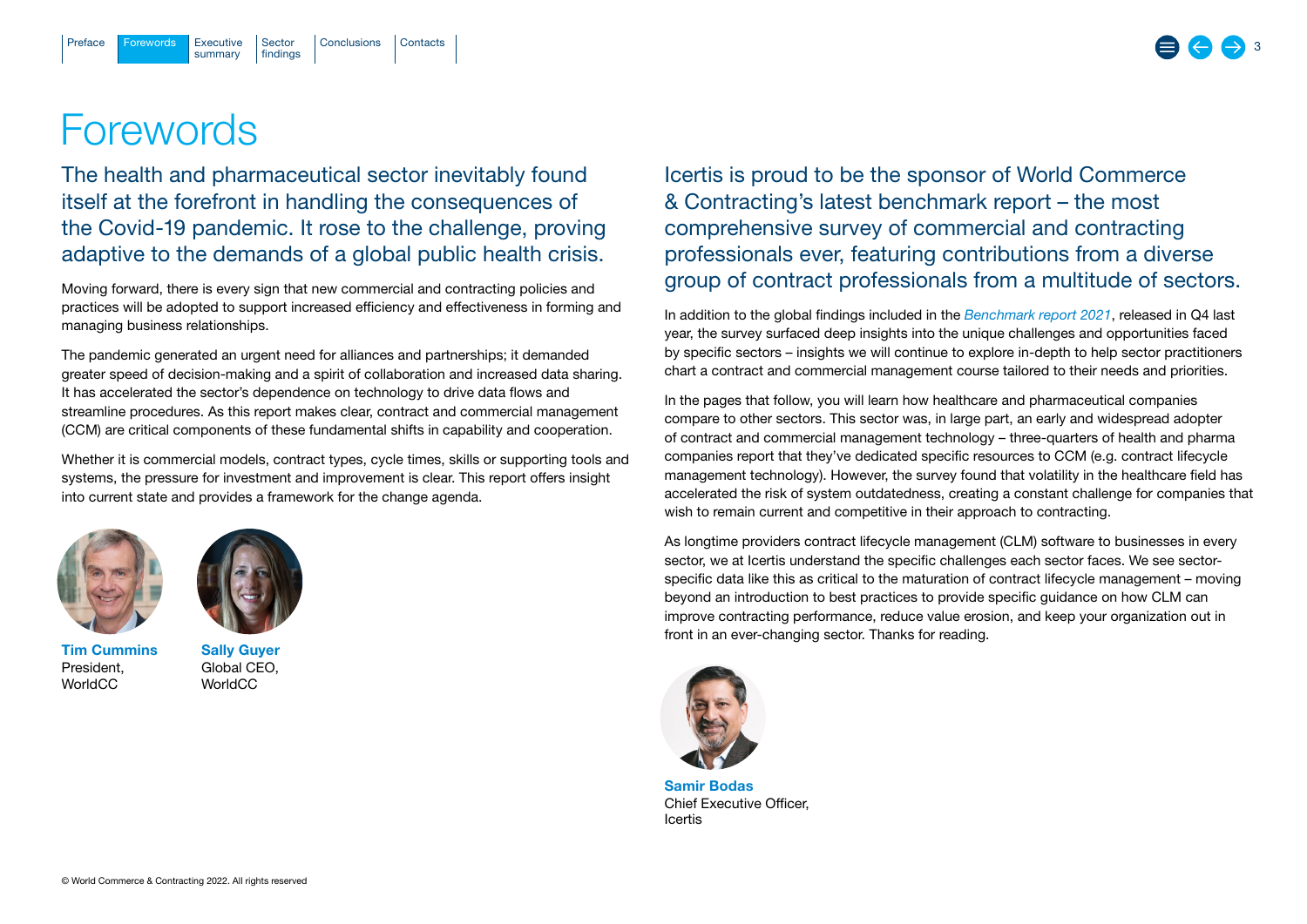# <span id="page-2-0"></span>**Forewords**

The health and pharmaceutical sector inevitably found itself at the forefront in handling the consequences of the Covid-19 pandemic. It rose to the challenge, proving adaptive to the demands of a global public health crisis.

Moving forward, there is every sign that new commercial and contracting policies and practices will be adopted to support increased efficiency and effectiveness in forming and managing business relationships.

The pandemic generated an urgent need for alliances and partnerships; it demanded greater speed of decision-making and a spirit of collaboration and increased data sharing. It has accelerated the sector's dependence on technology to drive data flows and streamline procedures. As this report makes clear, contract and commercial management (CCM) are critical components of these fundamental shifts in capability and cooperation.

Whether it is commercial models, contract types, cycle times, skills or supporting tools and systems, the pressure for investment and improvement is clear. This report offers insight into current state and provides a framework for the change agenda.





Tim Cummins President, WorldCC

Sally Guyer Global CEO, WorldCC

Icertis is proud to be the sponsor of World Commerce & Contracting's latest benchmark report – the most comprehensive survey of commercial and contracting professionals ever, featuring contributions from a diverse group of contract professionals from a multitude of sectors.

In addition to the global findings included in the *Benchmark report 2021*, released in Q4 last year, the survey surfaced deep insights into the unique challenges and opportunities faced by specific sectors – insights we will continue to explore in-depth to help sector practitioners chart a contract and commercial management course tailored to their needs and priorities.

In the pages that follow, you will learn how healthcare and pharmaceutical companies compare to other sectors. This sector was, in large part, an early and widespread adopter of contract and commercial management technology – three-quarters of health and pharma companies report that they've dedicated specific resources to CCM (e.g. contract lifecycle management technology). However, the survey found that volatility in the healthcare field has accelerated the risk of system outdatedness, creating a constant challenge for companies that wish to remain current and competitive in their approach to contracting.

As longtime providers contract lifecycle management (CLM) software to businesses in every sector, we at Icertis understand the specific challenges each sector faces. We see sectorspecific data like this as critical to the maturation of contract lifecycle management – moving beyond an introduction to best practices to provide specific guidance on how CLM can improve contracting performance, reduce value erosion, and keep your organization out in front in an ever-changing sector. Thanks for reading.



Samir Bodas Chief Executive Officer, Icertis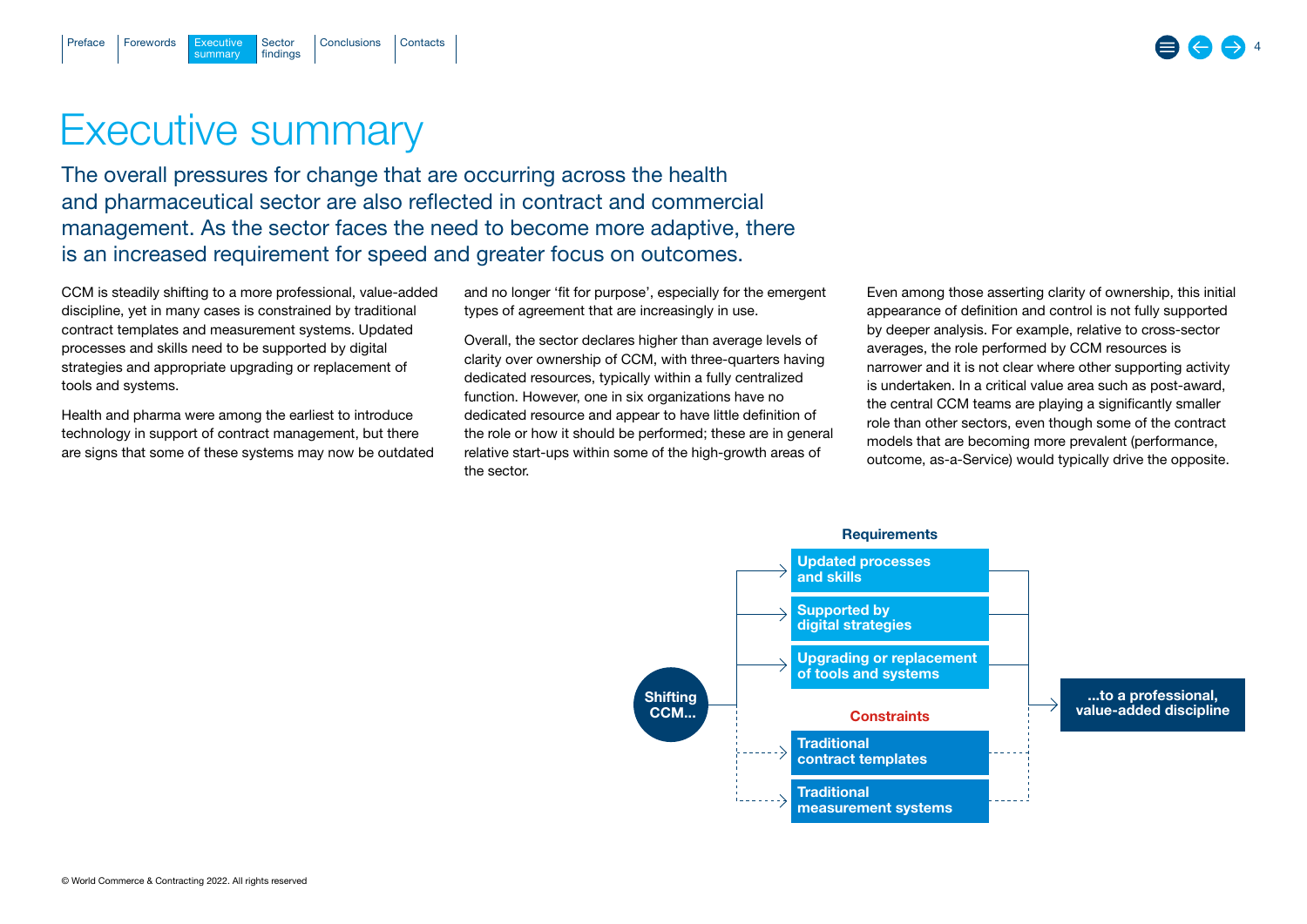# Executive summary

summary

[Forewords](#page-2-0)

<span id="page-3-0"></span>[Preface](#page-1-0)

Executive Sector [Conclusions](#page-14-0) [Contacts](#page-15-0)

findings

The overall pressures for change that are occurring across the health and pharmaceutical sector are also reflected in contract and commercial management. As the sector faces the need to become more adaptive, there is an increased requirement for speed and greater focus on outcomes.

CCM is steadily shifting to a more professional, value-added discipline, yet in many cases is constrained by traditional contract templates and measurement systems. Updated processes and skills need to be supported by digital strategies and appropriate upgrading or replacement of tools and systems.

Health and pharma were among the earliest to introduce technology in support of contract management, but there are signs that some of these systems may now be outdated and no longer 'fit for purpose', especially for the emergent types of agreement that are increasingly in use.

Overall, the sector declares higher than average levels of clarity over ownership of CCM, with three-quarters having dedicated resources, typically within a fully centralized function. However, one in six organizations have no dedicated resource and appear to have little definition of the role or how it should be performed; these are in general relative start-ups within some of the high-growth areas of the sector.

Even among those asserting clarity of ownership, this initial appearance of definition and control is not fully supported by deeper analysis. For example, relative to cross-sector averages, the role performed by CCM resources is narrower and it is not clear where other supporting activity is undertaken. In a critical value area such as post-award, the central CCM teams are playing a significantly smaller role than other sectors, even though some of the contract models that are becoming more prevalent (performance, outcome, as-a-Service) would typically drive the opposite.

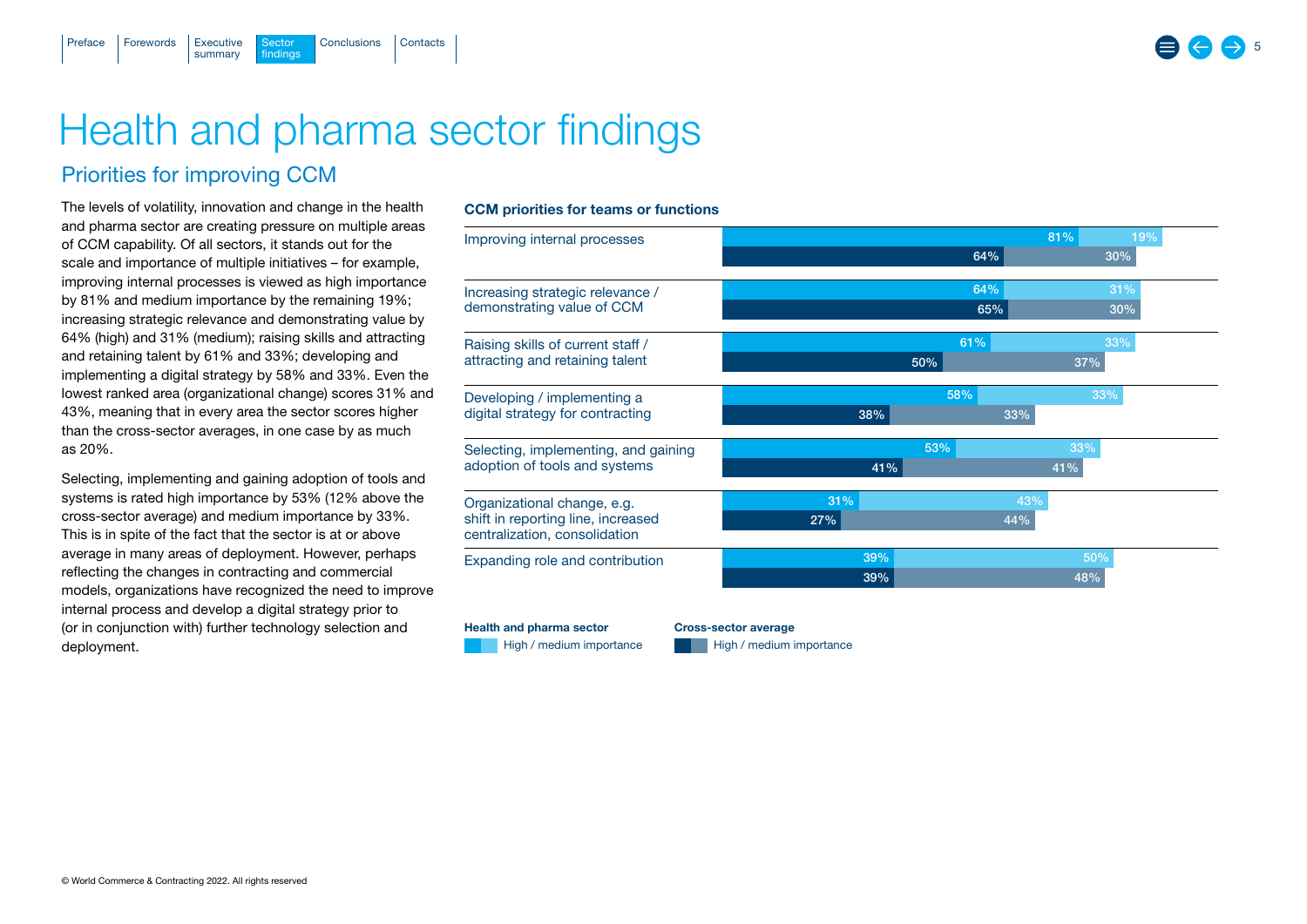# Health and pharma sector findings

Sector [Conclusions](#page-14-0) [Contacts](#page-15-0)

## Priorities for improving CCM

summary

findings

 $F$ orewords Executive

<span id="page-4-0"></span>[Preface](#page-1-0)

The levels of volatility, innovation and change in the health and pharma sector are creating pressure on multiple areas of CCM capability. Of all sectors, it stands out for the scale and importance of multiple initiatives – for example, improving internal processes is viewed as high importance by 81% and medium importance by the remaining 19%; increasing strategic relevance and demonstrating value by 64% (high) and 31% (medium); raising skills and attracting and retaining talent by 61% and 33%; developing and implementing a digital strategy by 58% and 33%. Even the lowest ranked area (organizational change) scores 31% and 43%, meaning that in every area the sector scores higher than the cross-sector averages, in one case by as much as 20%.

Selecting, implementing and gaining adoption of tools and systems is rated high importance by 53% (12% above the cross-sector average) and medium importance by 33%. This is in spite of the fact that the sector is at or above average in many areas of deployment. However, perhaps reflecting the changes in contracting and commercial models, organizations have recognized the need to improve internal process and develop a digital strategy prior to (or in conjunction with) further technology selection and deployment.

## CCM priorities for teams or functions

| Improving internal processes                                        |     |     |     | 81% | 19% |
|---------------------------------------------------------------------|-----|-----|-----|-----|-----|
|                                                                     |     |     | 64% |     | 30% |
| Increasing strategic relevance /                                    |     |     | 64% |     | 31% |
| demonstrating value of CCM                                          |     |     | 65% |     | 30% |
| Raising skills of current staff /                                   |     |     | 61% |     | 33% |
| attracting and retaining talent                                     |     | 50% |     | 37% |     |
| Developing / implementing a                                         |     |     | 58% |     | 33% |
| digital strategy for contracting                                    | 38% |     | 33% |     |     |
| Selecting, implementing, and gaining                                |     | 53% |     | 33% |     |
| adoption of tools and systems                                       | 41% |     |     | 41% |     |
| Organizational change, e.g.                                         | 31% |     |     | 43% |     |
| shift in reporting line, increased<br>centralization, consolidation | 27% |     | 44% |     |     |
| Expanding role and contribution                                     | 39% |     |     |     | 50% |
|                                                                     | 39% |     |     | 48% |     |

Health and pharma sector Cross-sector average

High / medium importance High / medium importance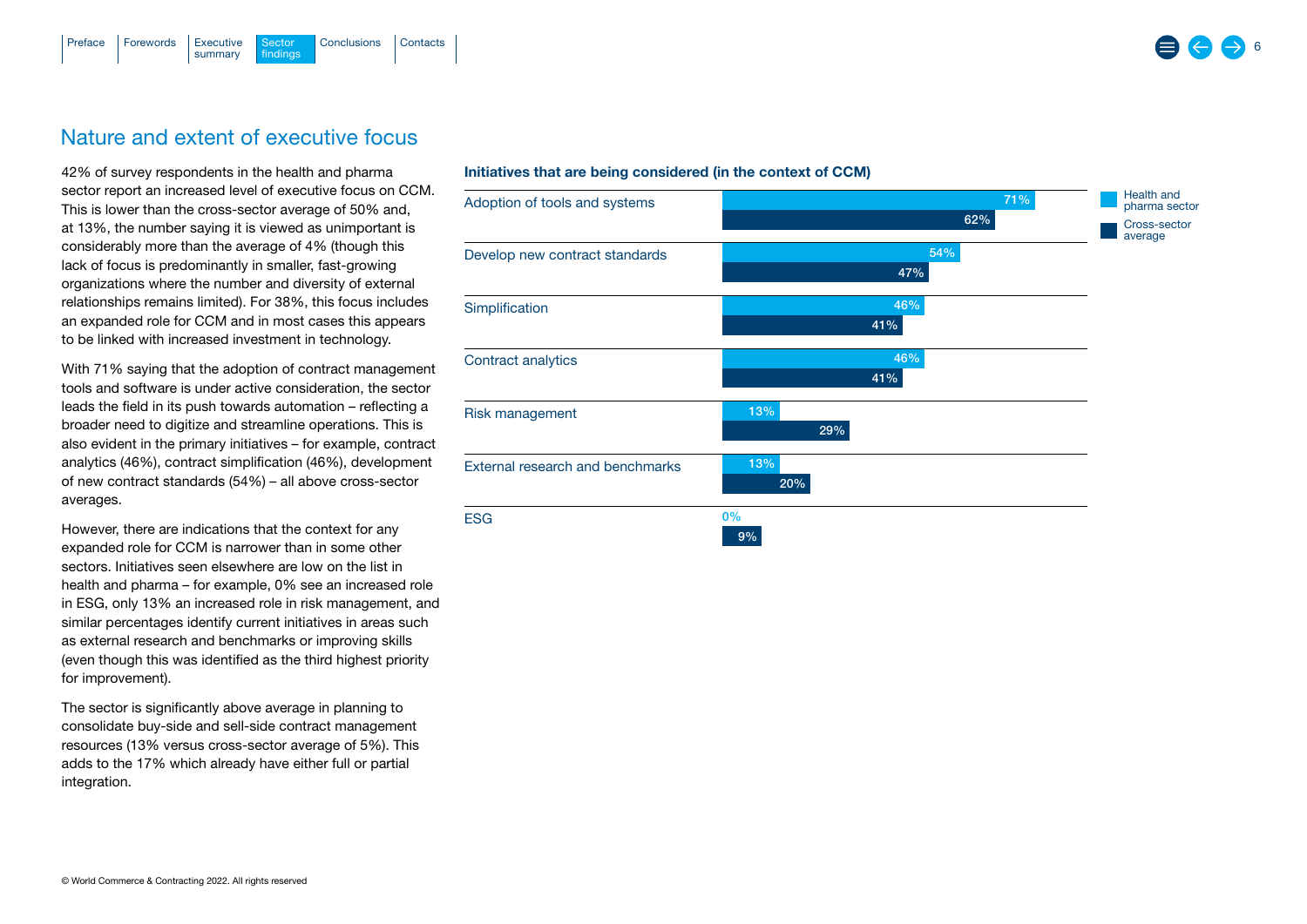

## Nature and extent of executive focus

42% of survey respondents in the health and pharma sector report an increased level of executive focus on CCM. This is lower than the cross-sector average of 50% and, at 13%, the number saying it is viewed as unimportant is considerably more than the average of 4% (though this lack of focus is predominantly in smaller, fast-growing organizations where the number and diversity of external relationships remains limited). For 38%, this focus includes an expanded role for CCM and in most cases this appears to be linked with increased investment in technology.

With 71% saying that the adoption of contract management tools and software is under active consideration, the sector leads the field in its push towards automation – reflecting a broader need to digitize and streamline operations. This is also evident in the primary initiatives – for example, contract analytics (46%), contract simplification (46%), development of new contract standards (54%) – all above cross-sector averages.

However, there are indications that the context for any expanded role for CCM is narrower than in some other sectors. Initiatives seen elsewhere are low on the list in health and pharma – for example, 0% see an increased role in ESG, only 13% an increased role in risk management, and similar percentages identify current initiatives in areas such as external research and benchmarks or improving skills (even though this was identified as the third highest priority for improvement).

The sector is significantly above average in planning to consolidate buy-side and sell-side contract management resources (13% versus cross-sector average of 5%). This adds to the 17% which already have either full or partial integration.

#### Initiatives that are being considered (in the context of CCM)

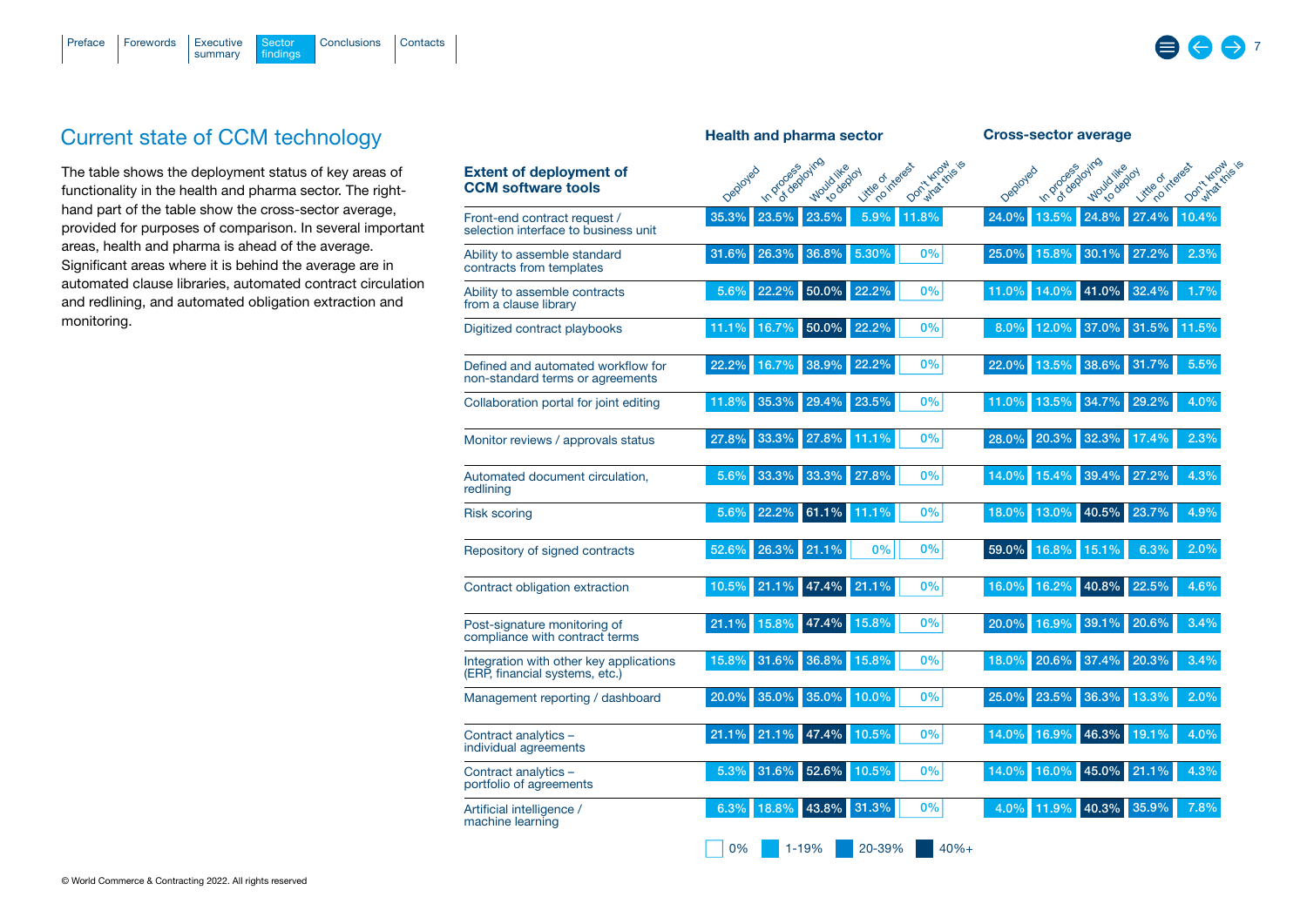

## Current state of CCM technology

The table shows the deployment status of key areas of functionality in the health and pharma sector. The righthand part of the table show the cross-sector average, provided for purposes of comparison. In several important areas, health and pharma is ahead of the average. Significant areas where it is behind the average are in automated clause libraries, automated contract circulation and redlining, and automated obligation extraction and monitoring.

|                                                                           | <b>Health and pharma sector</b>                                                                                                    | <b>Cross-sector average</b>                                                                                                 |  |  |
|---------------------------------------------------------------------------|------------------------------------------------------------------------------------------------------------------------------------|-----------------------------------------------------------------------------------------------------------------------------|--|--|
| <b>Extent of deployment of</b><br><b>CCM</b> software tools               | o deploying<br>Don't Know<br>Mytockthis is<br>no interest<br>In process<br>Would like<br>Deployed<br><b>KO deptoy</b><br>Little of | C-S depozing<br>Don't Know<br>What King is<br>no interest<br>In process<br>Would like<br>Deployed<br>to deptoy<br>Little of |  |  |
| Front-end contract request /<br>selection interface to business unit      | 35.3%<br>23.5%<br>23.5%<br>5.9%<br>11.8%                                                                                           | 27.4%<br>24.0%<br>24.8%<br>10.4%<br>13.5%                                                                                   |  |  |
| Ability to assemble standard<br>contracts from templates                  | 26.3%<br>36.8%<br>0%<br>5.30%<br>31.6%                                                                                             | 30.1%<br>27.2%<br>2.3%<br>15.8%<br>25.0%                                                                                    |  |  |
| Ability to assemble contracts<br>from a clause library                    | 22.2%<br>5.6%<br>22.2%<br>50.0%<br>0%                                                                                              | 41.0%<br>32.4%<br>11.0%<br>14.0%<br>1.7%                                                                                    |  |  |
| Digitized contract playbooks                                              | 50.0%<br>22.2%<br>0%<br>16.7%<br>11.1%                                                                                             | 37.0%<br>31.5%<br>11.5%<br>12.0%<br>8.0%                                                                                    |  |  |
| Defined and automated workflow for<br>non-standard terms or agreements    | 38.9%<br>22.2%<br>22.2%<br>16.7%<br>0%                                                                                             | 38.6%<br>31.7%<br>22.0%<br>13.5%<br>5.5%                                                                                    |  |  |
| Collaboration portal for joint editing                                    | 29.4%<br>23.5%<br>35.3%<br>0%<br>11.8%                                                                                             | 34.7%<br>29.2%<br>4.0%<br>11.0%<br>13.5%                                                                                    |  |  |
| Monitor reviews / approvals status                                        | 33.3%<br>27.8%<br>27.8%<br>11.1%<br>0%                                                                                             | 20.3%<br>32.3%<br>2.3%<br>28.0%<br>17.4%                                                                                    |  |  |
| Automated document circulation,<br>redlining                              | 33.3%<br>27.8%<br>0%<br>33.3%<br>5.6%                                                                                              | 39.4%<br>27.2%<br>4.3%<br>14.0%<br>15.4%                                                                                    |  |  |
| <b>Risk scoring</b>                                                       | 22.2%<br>61.1%<br>11.1%<br>0%<br>5.6%                                                                                              | 40.5%<br>23.7%<br>18.0%<br>13.0%<br>4.9%                                                                                    |  |  |
| Repository of signed contracts                                            | 21.1%<br>0%<br>0%<br>26.3%<br>52.6%                                                                                                | 59.0%<br>16.8%<br>15.1%<br>6.3%<br>2.0%                                                                                     |  |  |
| Contract obligation extraction                                            | 21.1%<br>0%<br>21.1%<br>47.4%<br>10.5%                                                                                             | 16.2%<br>40.8%<br>22.5%<br>16.0%<br>4.6%                                                                                    |  |  |
| Post-signature monitoring of<br>compliance with contract terms            | 47.4%<br>15.8%<br>0%<br>15.8%<br>21.1%                                                                                             | 39.1%<br>20.6%<br>3.4%<br>16.9%<br>20.0%                                                                                    |  |  |
| Integration with other key applications<br>(ERP, financial systems, etc.) | 31.6%<br>36.8%<br>15.8%<br>0%<br>15.8%                                                                                             | 20.6%<br>37.4%<br>20.3%<br>3.4%<br>18.0%                                                                                    |  |  |
| Management reporting / dashboard                                          | 35.0%<br>10.0%<br>0%<br>20.0%<br>35.0%                                                                                             | 36.3%<br>13.3%<br>2.0%<br>25.0%<br>23.5%                                                                                    |  |  |
| Contract analytics -<br>individual agreements                             | 21.1%<br>47.4%<br>10.5%<br>0%<br>21.1%                                                                                             | 16.9%<br>46.3%<br>19.1%<br>14.0%<br>4.0%                                                                                    |  |  |
| Contract analytics -<br>portfolio of agreements                           | 52.6%<br>10.5%<br>0%<br>31.6%<br>5.3%                                                                                              | 21.1%<br>45.0%<br>4.3%<br>14.0%<br>16.0%                                                                                    |  |  |
| Artificial intelligence /<br>machine learning                             | 43.8%<br>31.3%<br>6.3%<br>18.8%<br>$0\%$                                                                                           | 40.3%<br>35.9%<br>4.0%<br>11.9%<br>7.8%                                                                                     |  |  |
|                                                                           | 0%<br>1-19%<br>20-39%<br>$40% +$                                                                                                   |                                                                                                                             |  |  |

 $\Rightarrow$  7

e a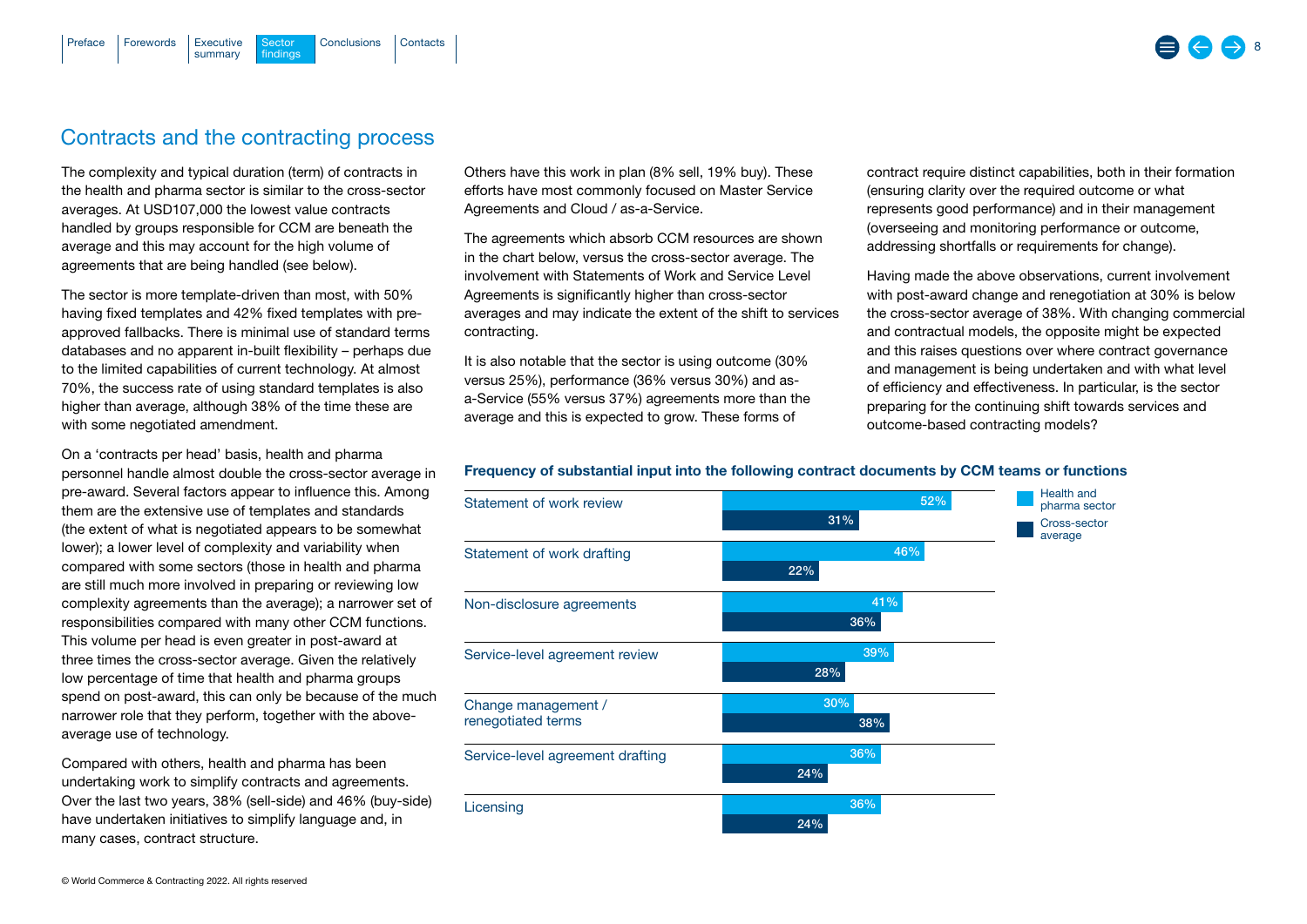## Contracts and the contracting process

findings

summary

 $F$ orewords  $\overline{S}$  Executive

[Preface](#page-1-0)

[Conclusions](#page-14-0) [Contacts](#page-15-0)

The complexity and typical duration (term) of contracts in the health and pharma sector is similar to the cross-sector averages. At USD107,000 the lowest value contracts handled by groups responsible for CCM are beneath the average and this may account for the high volume of agreements that are being handled (see below).

The sector is more template-driven than most, with 50% having fixed templates and 42% fixed templates with preapproved fallbacks. There is minimal use of standard terms databases and no apparent in-built flexibility – perhaps due to the limited capabilities of current technology. At almost 70%, the success rate of using standard templates is also higher than average, although 38% of the time these are with some negotiated amendment.

On a 'contracts per head' basis, health and pharma personnel handle almost double the cross-sector average in pre-award. Several factors appear to influence this. Among them are the extensive use of templates and standards (the extent of what is negotiated appears to be somewhat lower); a lower level of complexity and variability when compared with some sectors (those in health and pharma are still much more involved in preparing or reviewing low complexity agreements than the average); a narrower set of responsibilities compared with many other CCM functions. This volume per head is even greater in post-award at three times the cross-sector average. Given the relatively low percentage of time that health and pharma groups spend on post-award, this can only be because of the much narrower role that they perform, together with the aboveaverage use of technology.

Compared with others, health and pharma has been undertaking work to simplify contracts and agreements. Over the last two years, 38% (sell-side) and 46% (buy-side) have undertaken initiatives to simplify language and, in many cases, contract structure.

Others have this work in plan (8% sell, 19% buy). These efforts have most commonly focused on Master Service Agreements and Cloud / as-a-Service.

The agreements which absorb CCM resources are shown in the chart below, versus the cross-sector average. The involvement with Statements of Work and Service Level Agreements is significantly higher than cross-sector averages and may indicate the extent of the shift to services contracting.

It is also notable that the sector is using outcome (30% versus 25%), performance (36% versus 30%) and asa-Service (55% versus 37%) agreements more than the average and this is expected to grow. These forms of

contract require distinct capabilities, both in their formation (ensuring clarity over the required outcome or what represents good performance) and in their management (overseeing and monitoring performance or outcome, addressing shortfalls or requirements for change).

Having made the above observations, current involvement with post-award change and renegotiation at 30% is below the cross-sector average of 38%. With changing commercial and contractual models, the opposite might be expected and this raises questions over where contract governance and management is being undertaken and with what level of efficiency and effectiveness. In particular, is the sector preparing for the continuing shift towards services and outcome-based contracting models?

#### Frequency of substantial input into the following contract documents by CCM teams or functions

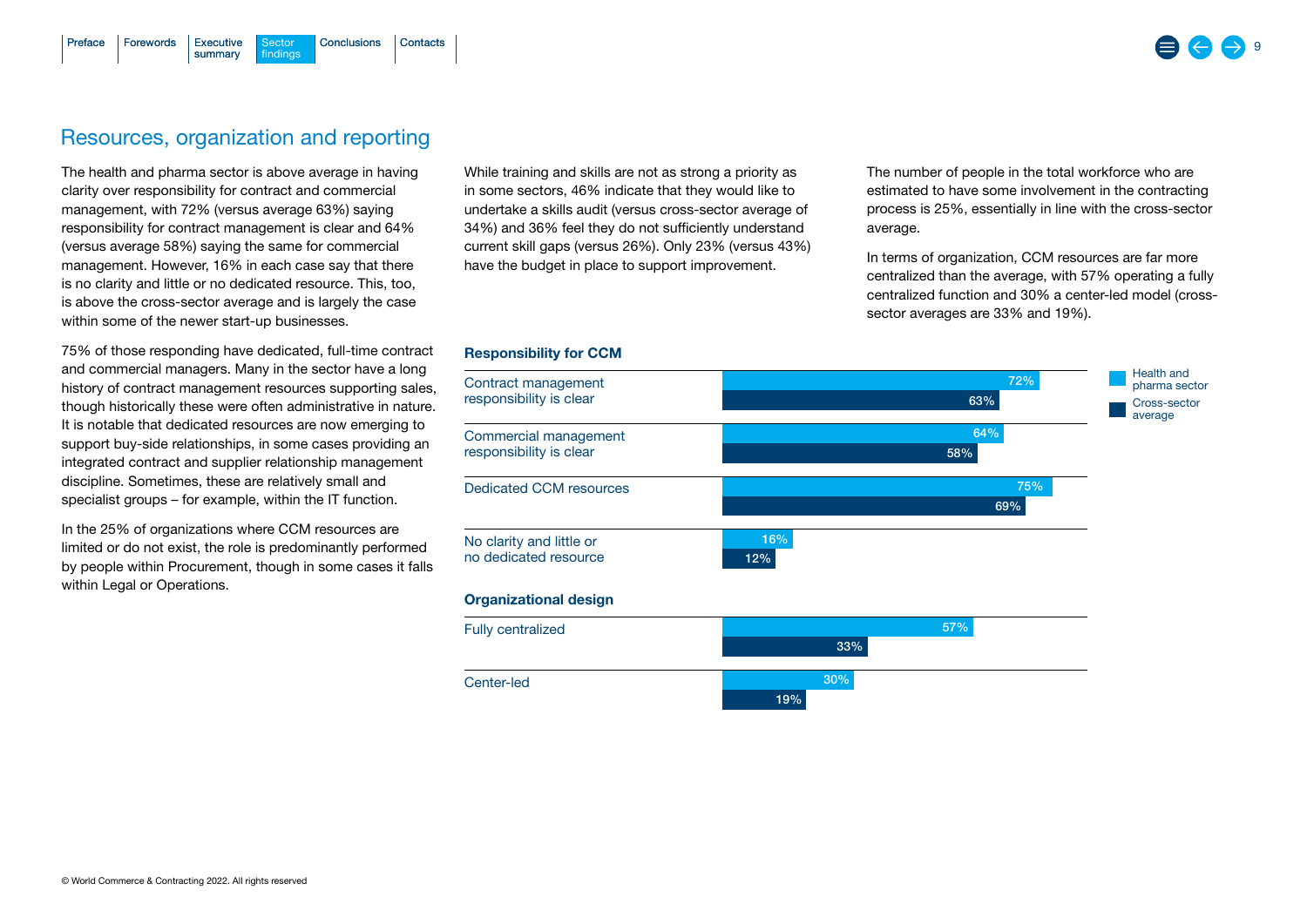#### [Conclusions](#page-14-0) [Contacts](#page-15-0) summary  $F$ orewords  $E$  Executive findings [Preface](#page-1-0)

## Resources, organization and reporting

The health and pharma sector is above average in having clarity over responsibility for contract and commercial management, with 72% (versus average 63%) saying responsibility for contract management is clear and 64% (versus average 58%) saying the same for commercial management. However, 16% in each case say that there is no clarity and little or no dedicated resource. This, too, is above the cross-sector average and is largely the case within some of the newer start-up businesses.

75% of those responding have dedicated, full-time contract and commercial managers. Many in the sector have a long history of contract management resources supporting sales, though historically these were often administrative in nature. It is notable that dedicated resources are now emerging to support buy-side relationships, in some cases providing an integrated contract and supplier relationship management discipline. Sometimes, these are relatively small and specialist groups – for example, within the IT function.

In the 25% of organizations where CCM resources are limited or do not exist, the role is predominantly performed by people within Procurement, though in some cases it falls within Legal or Operations.

While training and skills are not as strong a priority as in some sectors, 46% indicate that they would like to undertake a skills audit (versus cross-sector average of 34%) and 36% feel they do not sufficiently understand current skill gaps (versus 26%). Only 23% (versus 43%) have the budget in place to support improvement.

The number of people in the total workforce who are estimated to have some involvement in the contracting process is 25%, essentially in line with the cross-sector average.

In terms of organization, CCM resources are far more centralized than the average, with 57% operating a fully centralized function and 30% a center-led model (crosssector averages are 33% and 19%).



## Responsibility for CCM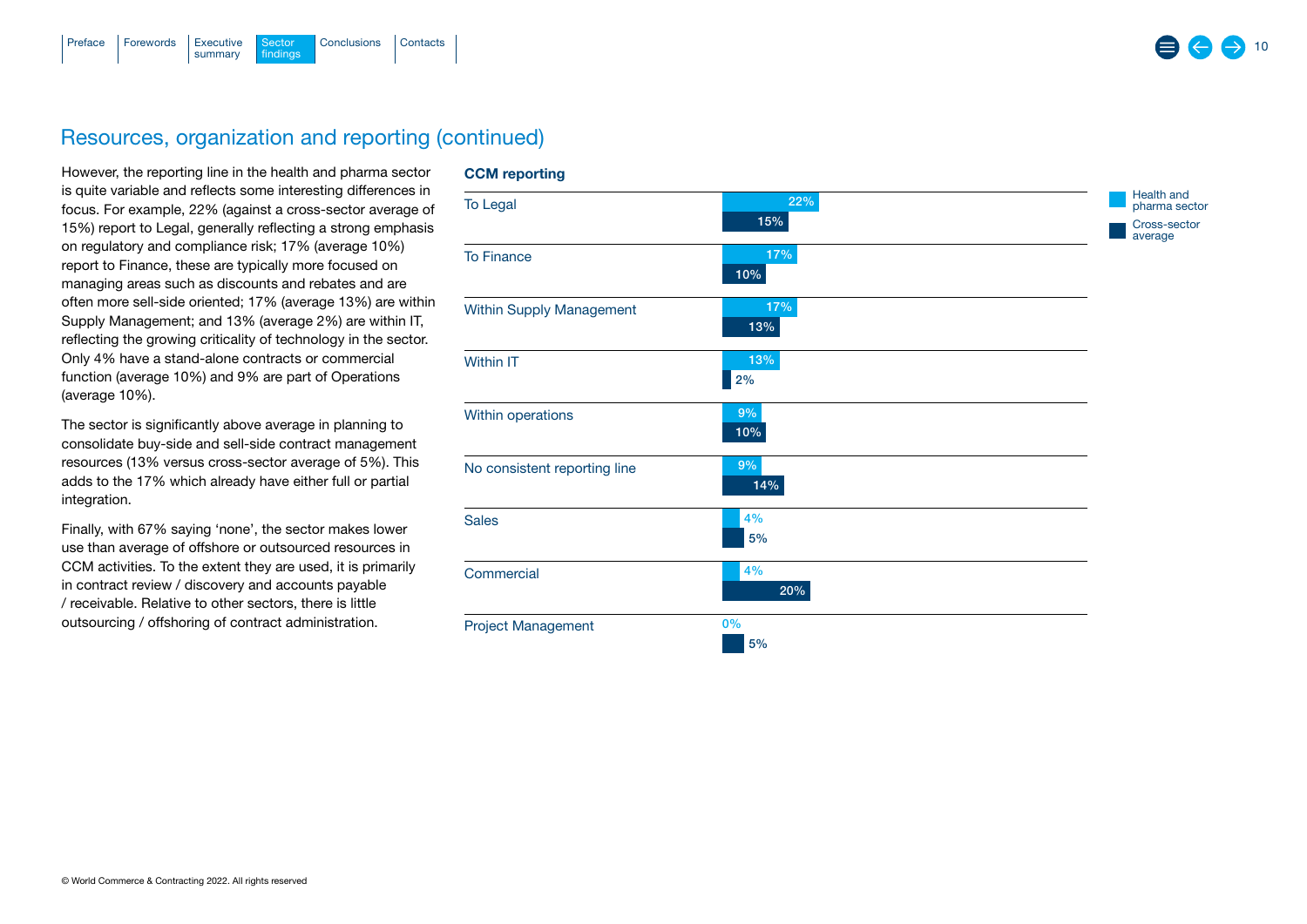

## Resources, organization and reporting (continued)

However, the reporting line in the health and pharma sector is quite variable and reflects some interesting differences in focus. For example, 22% (against a cross-sector average of 15%) report to Legal, generally reflecting a strong emphasis on regulatory and compliance risk; 17% (average 10%) report to Finance, these are typically more focused on managing areas such as discounts and rebates and are often more sell-side oriented; 17% (average 13%) are within Supply Management; and 13% (average 2%) are within IT, reflecting the growing criticality of technology in the sector. Only 4% have a stand-alone contracts or commercial function (average 10%) and 9% are part of Operations (average 10%).

The sector is significantly above average in planning to consolidate buy-side and sell-side contract management resources (13% versus cross-sector average of 5%). This adds to the 17% which already have either full or partial integration.

Finally, with 67% saying 'none', the sector makes lower use than average of offshore or outsourced resources in CCM activities. To the extent they are used, it is primarily in contract review / discovery and accounts payable / receivable. Relative to other sectors, there is little outsourcing / offshoring of contract administration.

#### CCM reporting

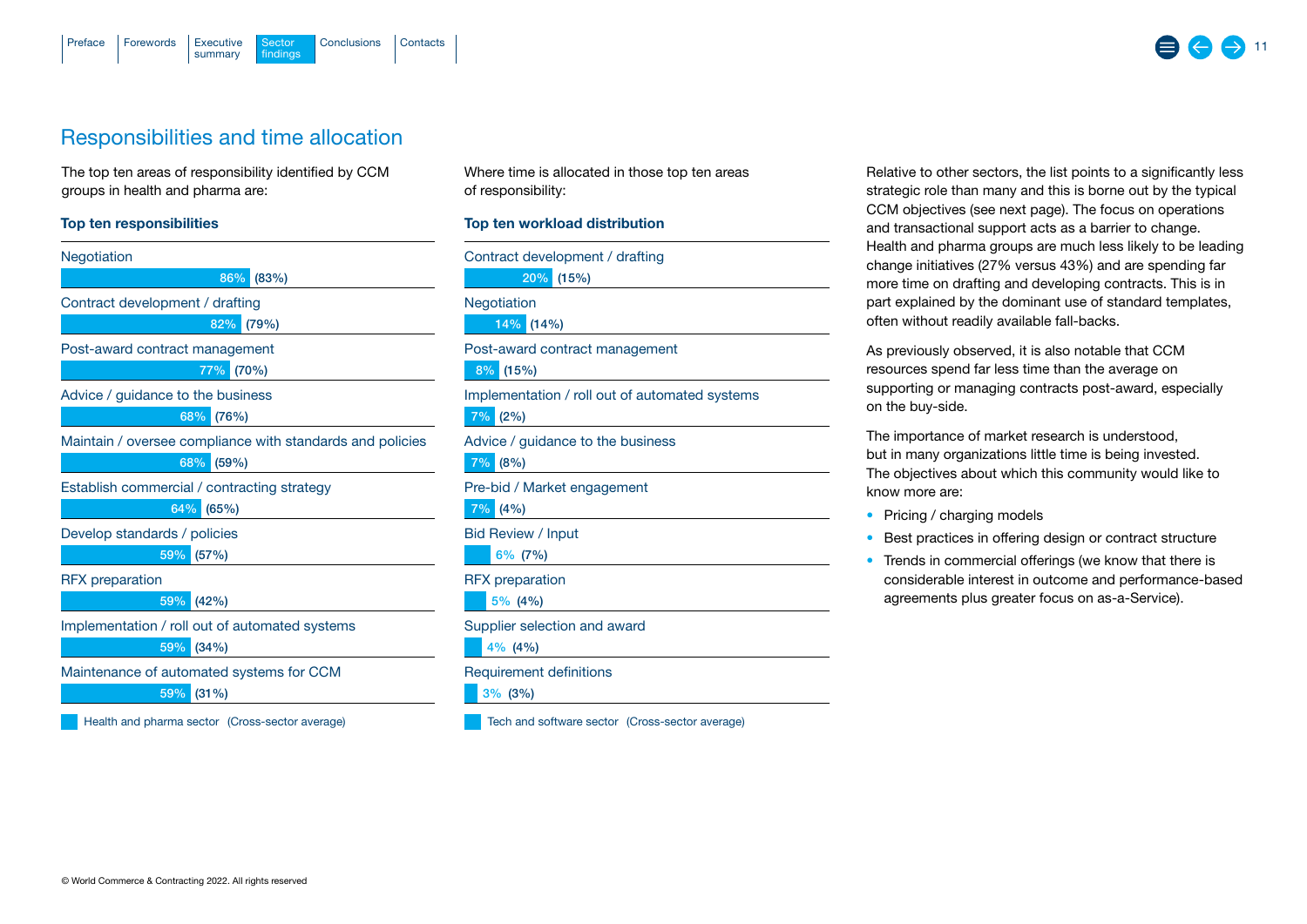

## Responsibilities and time allocation

The top ten areas of responsibility identified by CCM groups in health and pharma are:

#### Top ten responsibilities

| Negotiation                                               |
|-----------------------------------------------------------|
| 86%<br>(83%)                                              |
| Contract development / drafting                           |
| 82%<br>(79%)                                              |
| Post-award contract management                            |
| 77%<br>(70%)                                              |
| Advice / guidance to the business                         |
| 68%<br>(76%)                                              |
| Maintain / oversee compliance with standards and policies |
| 68%<br>(59%)                                              |
| Establish commercial / contracting strategy               |
| 64%<br>(65%)                                              |
| Develop standards / policies                              |
| 59%<br>(57%)                                              |
| <b>RFX</b> preparation                                    |
| (42%)<br>59%                                              |
| Implementation / roll out of automated systems            |
| (34%)<br>59%                                              |
| Maintenance of automated systems for CCM                  |
| 59%<br>$(31\%)$                                           |
| Health and pharma sector (Cross-sector average)           |

Where time is allocated in those top ten areas of responsibility:

#### Top ten workload distribution

20% (15%) Contract development / drafting

Negotiation

14% (14%)

Post-award contract management

8% (15%)

Implementation / roll out of automated systems 7%  $(2%)$ 

Advice / guidance to the business

7% (8%)

Pre-bid / Market engagement

7% (4%)

Bid Review / Input

6% (7%)

RFX preparation

5% (4%)

Supplier selection and award

4% (4%)

Requirement definitions

 $3\%$  (3%)

Tech and software sector (Cross-sector average)

Relative to other sectors, the list points to a significantly less strategic role than many and this is borne out by the typical CCM objectives (see next page). The focus on operations and transactional support acts as a barrier to change. Health and pharma groups are much less likely to be leading change initiatives (27% versus 43%) and are spending far more time on drafting and developing contracts. This is in part explained by the dominant use of standard templates, often without readily available fall-backs.

11

As previously observed, it is also notable that CCM resources spend far less time than the average on supporting or managing contracts post-award, especially on the buy-side.

The importance of market research is understood, but in many organizations little time is being invested. The objectives about which this community would like to know more are:

- Pricing / charging models
- Best practices in offering design or contract structure
- Trends in commercial offerings (we know that there is considerable interest in outcome and performance-based agreements plus greater focus on as-a-Service).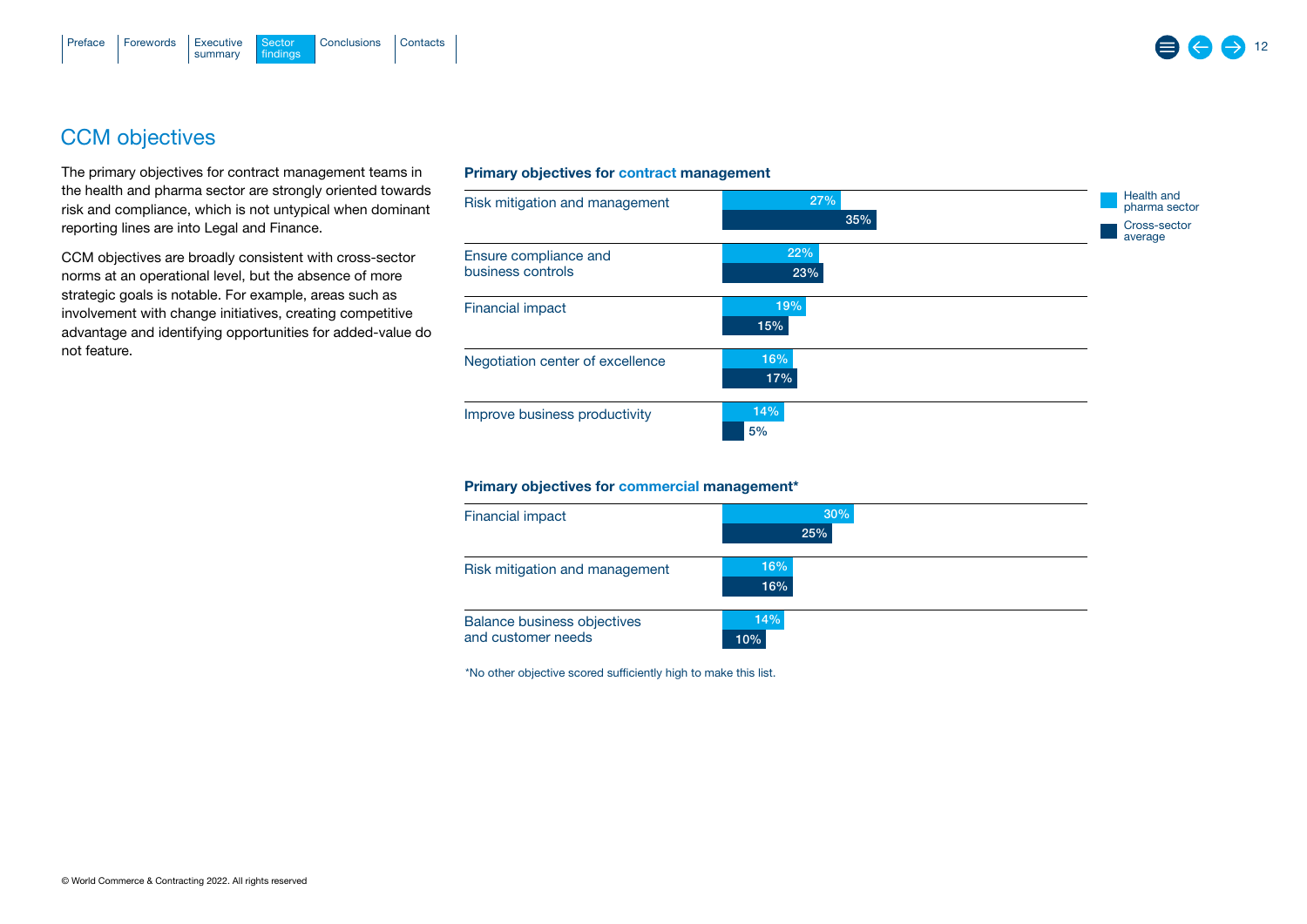## CCM objectives

The primary objectives for contract management teams in the health and pharma sector are strongly oriented towards risk and compliance, which is not untypical when dominant reporting lines are into Legal and Finance.

CCM objectives are broadly consistent with cross-sector norms at an operational level, but the absence of more strategic goals is notable. For example, areas such as involvement with change initiatives, creating competitive advantage and identifying opportunities for added-value do not feature.

## Primary objectives for contract management



#### Primary objectives for commercial management\*

| <b>Financial impact</b>            | 30% |
|------------------------------------|-----|
|                                    | 25% |
| Risk mitigation and management     | 16% |
|                                    | 16% |
| <b>Balance business objectives</b> | 14% |
| and customer needs                 | 10% |

\*No other objective scored sufficiently high to make this list.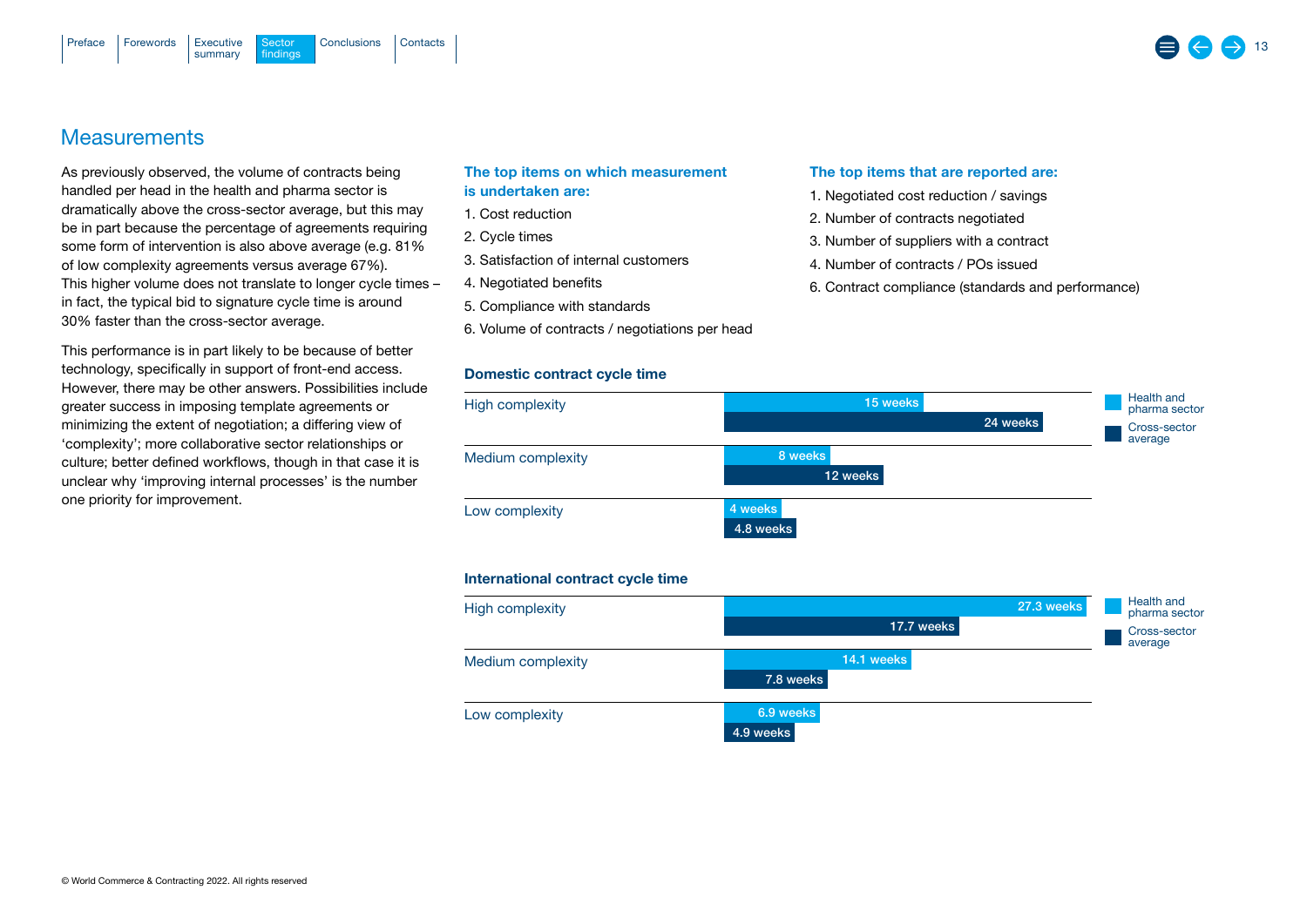## **Measurements**

As previously observed, the volume of contracts being handled per head in the health and pharma sector is dramatically above the cross-sector average, but this may be in part because the percentage of agreements requiring some form of intervention is also above average (e.g. 81% of low complexity agreements versus average 67%). This higher volume does not translate to longer cycle times – in fact, the typical bid to signature cycle time is around 30% faster than the cross-sector average.

This performance is in part likely to be because of better technology, specifically in support of front-end access. However, there may be other answers. Possibilities include greater success in imposing template agreements or minimizing the extent of negotiation; a differing view of 'complexity'; more collaborative sector relationships or culture; better defined workflows, though in that case it is unclear why 'improving internal processes' is the number one priority for improvement.

## The top items on which measurement is undertaken are:

- 1. Cost reduction
- 2. Cycle times
- 3. Satisfaction of internal customers
- 4. Negotiated benefits
- 5. Compliance with standards
- 6. Volume of contracts / negotiations per head

## Domestic contract cycle time

#### The top items that are reported are:

- 1. Negotiated cost reduction / savings
- 2. Number of contracts negotiated
- 3. Number of suppliers with a contract
- 4. Number of contracts / POs issued
- 6. Contract compliance (standards and performance)



#### International contract cycle time

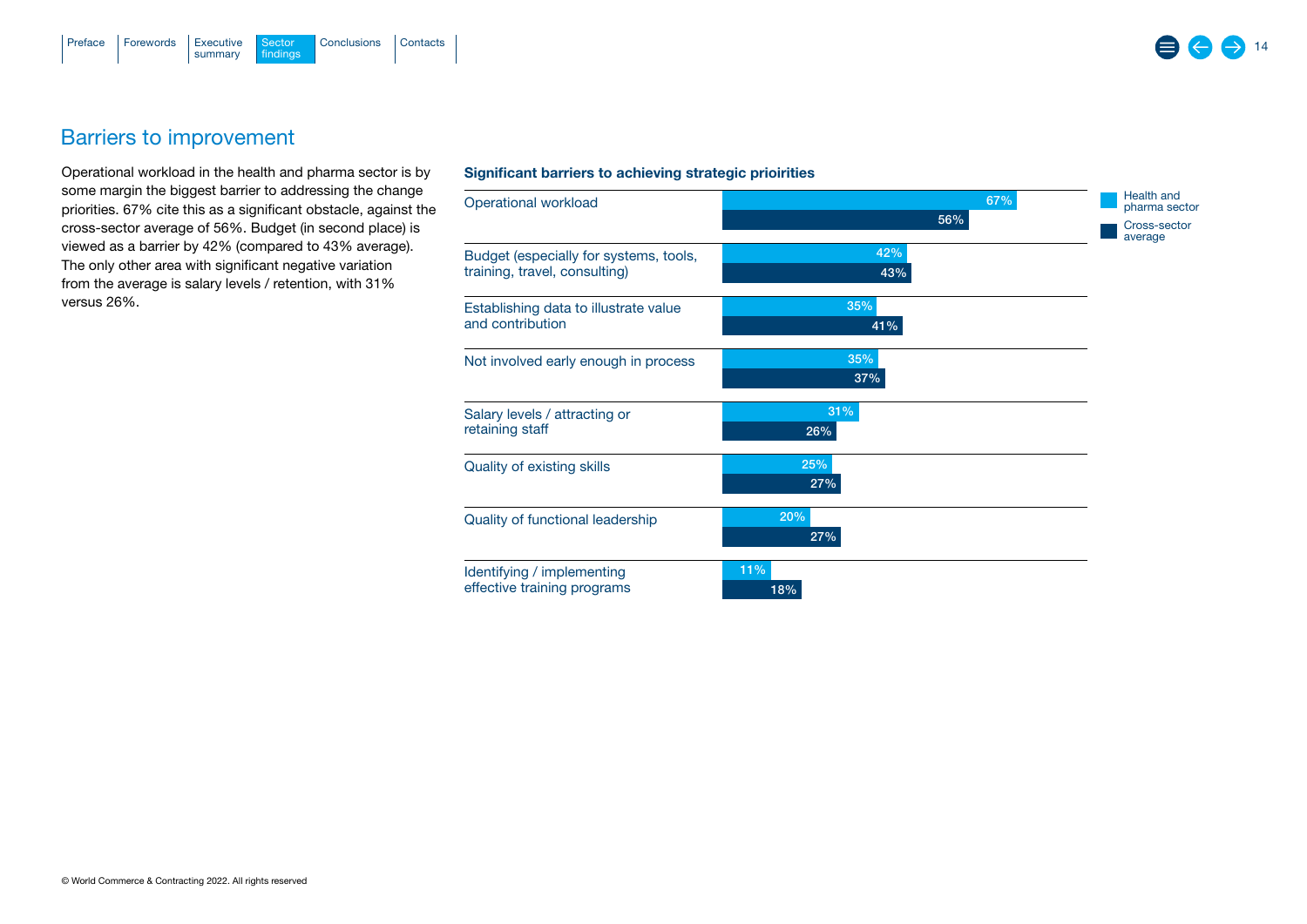

## Barriers to improvement

Operational workload in the health and pharma sector is by some margin the biggest barrier to addressing the change priorities. 67% cite this as a significant obstacle, against the cross-sector average of 56%. Budget (in second place) is viewed as a barrier by 42% (compared to 43% average). The only other area with significant negative variation from the average is salary levels / retention, with 31% versus 26%.

#### Significant barriers to achieving strategic prioirities

| Operational workload                                                    | 67%<br>56% | Health and<br>pharma sector<br>Cross-sector<br>average |  |
|-------------------------------------------------------------------------|------------|--------------------------------------------------------|--|
| Budget (especially for systems, tools,<br>training, travel, consulting) | 42%<br>43% |                                                        |  |
| Establishing data to illustrate value<br>and contribution               | 35%<br>41% |                                                        |  |
| Not involved early enough in process                                    | 35%<br>37% |                                                        |  |
| Salary levels / attracting or<br>retaining staff                        | 31%<br>26% |                                                        |  |
| Quality of existing skills                                              | 25%<br>27% |                                                        |  |
| Quality of functional leadership                                        | 20%<br>27% |                                                        |  |
| Identifying / implementing<br>effective training programs               | 11%<br>18% |                                                        |  |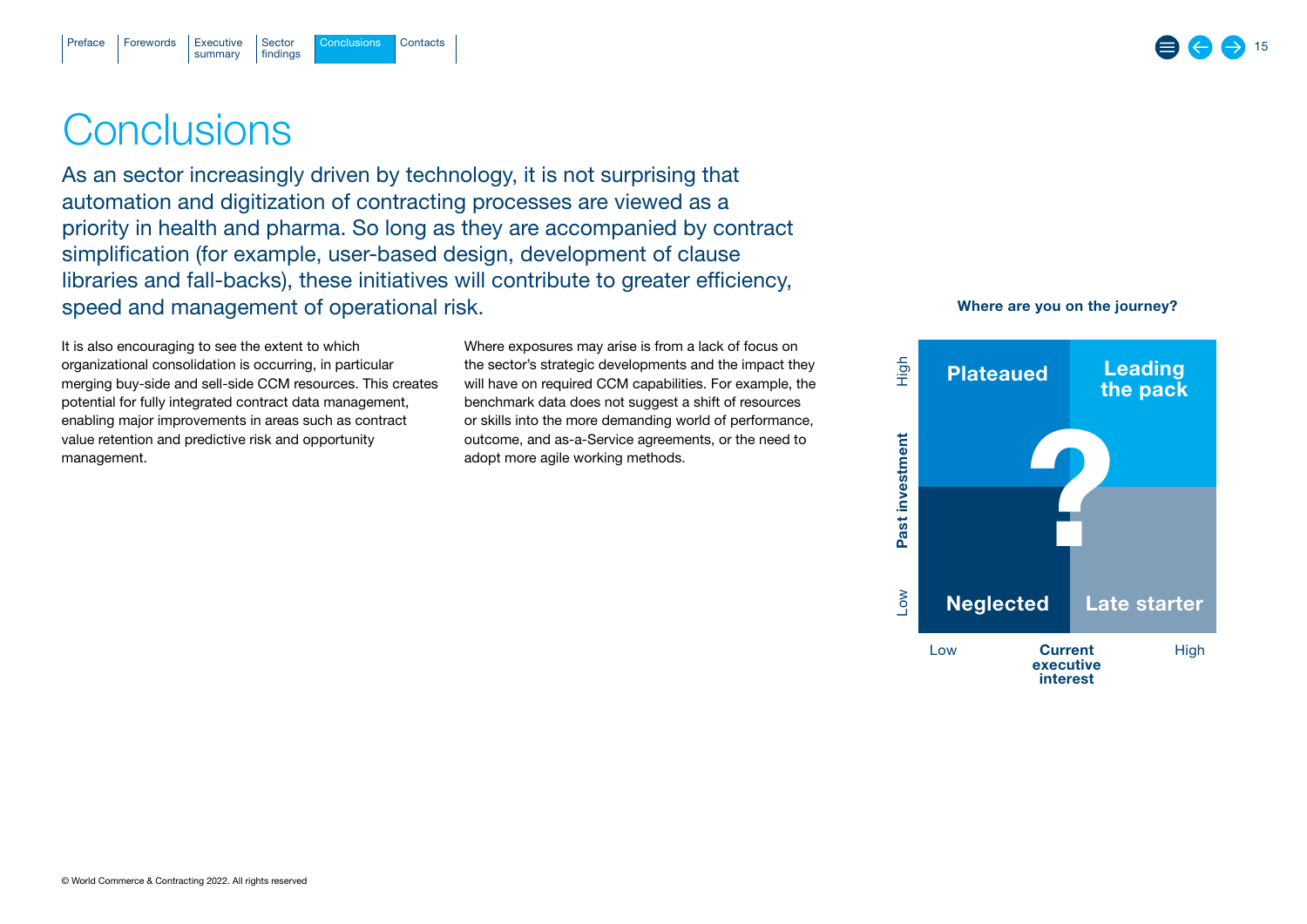# <span id="page-14-0"></span>**Conclusions**

As an sector increasingly driven by technology, it is not surprising that automation and digitization of contracting processes are viewed as a priority in health and pharma. So long as they are accompanied by contract simplification (for example, user-based design, development of clause libraries and fall-backs), these initiatives will contribute to greater efficiency, speed and management of operational risk.

It is also encouraging to see the extent to which organizational consolidation is occurring, in particular merging buy-side and sell-side CCM resources. This creates potential for fully integrated contract data management, enabling major improvements in areas such as contract value retention and predictive risk and opportunity management.

Where exposures may arise is from a lack of focus on the sector's strategic developments and the impact they will have on required CCM capabilities. For example, the benchmark data does not suggest a shift of resources or skills into the more demanding world of performance, outcome, and as-a-Service agreements, or the need to adopt more agile working methods.



15